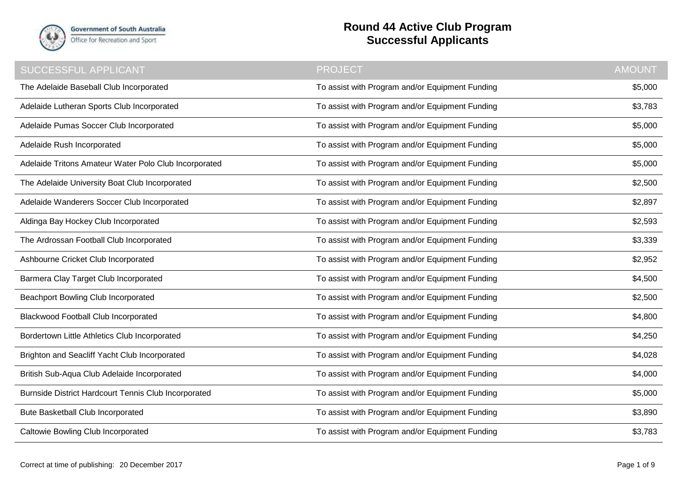

**Government of South Australia** Office for Recreation and Sport

## **Round 44 Active Club Program Successful Applicants**

| <b>SUCCESSFUL APPLICANT</b>                           | <b>PROJECT</b>                                  | <b>AMOUNT</b> |
|-------------------------------------------------------|-------------------------------------------------|---------------|
| The Adelaide Baseball Club Incorporated               | To assist with Program and/or Equipment Funding | \$5,000       |
| Adelaide Lutheran Sports Club Incorporated            | To assist with Program and/or Equipment Funding | \$3,783       |
| Adelaide Pumas Soccer Club Incorporated               | To assist with Program and/or Equipment Funding | \$5,000       |
| Adelaide Rush Incorporated                            | To assist with Program and/or Equipment Funding | \$5,000       |
| Adelaide Tritons Amateur Water Polo Club Incorporated | To assist with Program and/or Equipment Funding | \$5,000       |
| The Adelaide University Boat Club Incorporated        | To assist with Program and/or Equipment Funding | \$2,500       |
| Adelaide Wanderers Soccer Club Incorporated           | To assist with Program and/or Equipment Funding | \$2,897       |
| Aldinga Bay Hockey Club Incorporated                  | To assist with Program and/or Equipment Funding | \$2,593       |
| The Ardrossan Football Club Incorporated              | To assist with Program and/or Equipment Funding | \$3,339       |
| Ashbourne Cricket Club Incorporated                   | To assist with Program and/or Equipment Funding | \$2,952       |
| Barmera Clay Target Club Incorporated                 | To assist with Program and/or Equipment Funding | \$4,500       |
| Beachport Bowling Club Incorporated                   | To assist with Program and/or Equipment Funding | \$2,500       |
| <b>Blackwood Football Club Incorporated</b>           | To assist with Program and/or Equipment Funding | \$4,800       |
| Bordertown Little Athletics Club Incorporated         | To assist with Program and/or Equipment Funding | \$4,250       |
| Brighton and Seacliff Yacht Club Incorporated         | To assist with Program and/or Equipment Funding | \$4,028       |
| British Sub-Aqua Club Adelaide Incorporated           | To assist with Program and/or Equipment Funding | \$4,000       |
| Burnside District Hardcourt Tennis Club Incorporated  | To assist with Program and/or Equipment Funding | \$5,000       |
| <b>Bute Basketball Club Incorporated</b>              | To assist with Program and/or Equipment Funding | \$3,890       |
| Caltowie Bowling Club Incorporated                    | To assist with Program and/or Equipment Funding | \$3,783       |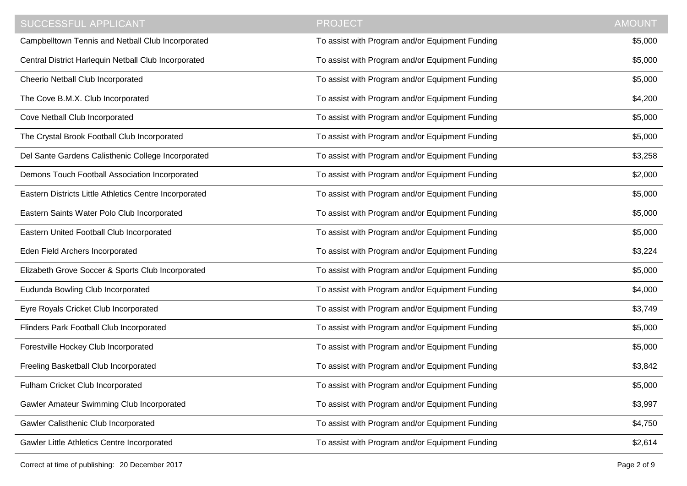| <b>SUCCESSFUL APPLICANT</b>                            | <b>PROJECT</b>                                  | <b>AMOUNT</b> |
|--------------------------------------------------------|-------------------------------------------------|---------------|
| Campbelltown Tennis and Netball Club Incorporated      | To assist with Program and/or Equipment Funding | \$5,000       |
| Central District Harlequin Netball Club Incorporated   | To assist with Program and/or Equipment Funding | \$5,000       |
| Cheerio Netball Club Incorporated                      | To assist with Program and/or Equipment Funding | \$5,000       |
| The Cove B.M.X. Club Incorporated                      | To assist with Program and/or Equipment Funding | \$4,200       |
| Cove Netball Club Incorporated                         | To assist with Program and/or Equipment Funding | \$5,000       |
| The Crystal Brook Football Club Incorporated           | To assist with Program and/or Equipment Funding | \$5,000       |
| Del Sante Gardens Calisthenic College Incorporated     | To assist with Program and/or Equipment Funding | \$3,258       |
| Demons Touch Football Association Incorporated         | To assist with Program and/or Equipment Funding | \$2,000       |
| Eastern Districts Little Athletics Centre Incorporated | To assist with Program and/or Equipment Funding | \$5,000       |
| Eastern Saints Water Polo Club Incorporated            | To assist with Program and/or Equipment Funding | \$5,000       |
| Eastern United Football Club Incorporated              | To assist with Program and/or Equipment Funding | \$5,000       |
| Eden Field Archers Incorporated                        | To assist with Program and/or Equipment Funding | \$3,224       |
| Elizabeth Grove Soccer & Sports Club Incorporated      | To assist with Program and/or Equipment Funding | \$5,000       |
| Eudunda Bowling Club Incorporated                      | To assist with Program and/or Equipment Funding | \$4,000       |
| Eyre Royals Cricket Club Incorporated                  | To assist with Program and/or Equipment Funding | \$3,749       |
| Flinders Park Football Club Incorporated               | To assist with Program and/or Equipment Funding | \$5,000       |
| Forestville Hockey Club Incorporated                   | To assist with Program and/or Equipment Funding | \$5,000       |
| Freeling Basketball Club Incorporated                  | To assist with Program and/or Equipment Funding | \$3,842       |
| Fulham Cricket Club Incorporated                       | To assist with Program and/or Equipment Funding | \$5,000       |
| Gawler Amateur Swimming Club Incorporated              | To assist with Program and/or Equipment Funding | \$3,997       |
| Gawler Calisthenic Club Incorporated                   | To assist with Program and/or Equipment Funding | \$4,750       |
| Gawler Little Athletics Centre Incorporated            | To assist with Program and/or Equipment Funding | \$2,614       |

Correct at time of publishing: 20 December 2017 Page 2 of 9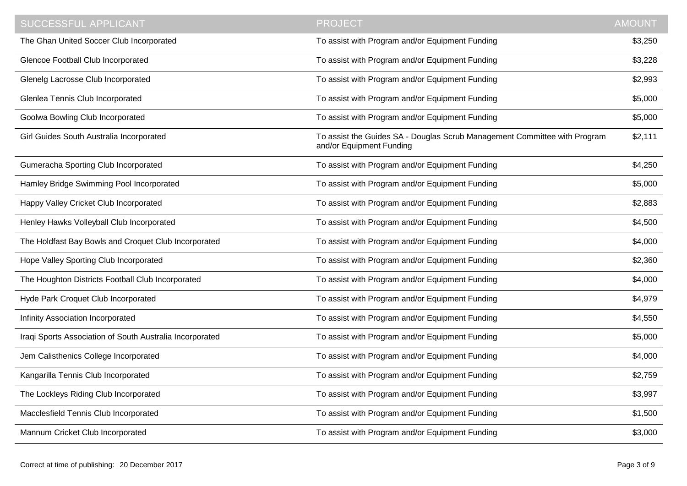| <b>SUCCESSFUL APPLICANT</b>                              | <b>PROJECT</b>                                                                                        | <b>AMOUNT</b> |
|----------------------------------------------------------|-------------------------------------------------------------------------------------------------------|---------------|
| The Ghan United Soccer Club Incorporated                 | To assist with Program and/or Equipment Funding                                                       | \$3,250       |
| Glencoe Football Club Incorporated                       | To assist with Program and/or Equipment Funding                                                       | \$3,228       |
| Glenelg Lacrosse Club Incorporated                       | To assist with Program and/or Equipment Funding                                                       | \$2,993       |
| Glenlea Tennis Club Incorporated                         | To assist with Program and/or Equipment Funding                                                       | \$5,000       |
| Goolwa Bowling Club Incorporated                         | To assist with Program and/or Equipment Funding                                                       | \$5,000       |
| Girl Guides South Australia Incorporated                 | To assist the Guides SA - Douglas Scrub Management Committee with Program<br>and/or Equipment Funding | \$2,111       |
| Gumeracha Sporting Club Incorporated                     | To assist with Program and/or Equipment Funding                                                       | \$4,250       |
| Hamley Bridge Swimming Pool Incorporated                 | To assist with Program and/or Equipment Funding                                                       | \$5,000       |
| Happy Valley Cricket Club Incorporated                   | To assist with Program and/or Equipment Funding                                                       | \$2,883       |
| Henley Hawks Volleyball Club Incorporated                | To assist with Program and/or Equipment Funding                                                       | \$4,500       |
| The Holdfast Bay Bowls and Croquet Club Incorporated     | To assist with Program and/or Equipment Funding                                                       | \$4,000       |
| Hope Valley Sporting Club Incorporated                   | To assist with Program and/or Equipment Funding                                                       | \$2,360       |
| The Houghton Districts Football Club Incorporated        | To assist with Program and/or Equipment Funding                                                       | \$4,000       |
| Hyde Park Croquet Club Incorporated                      | To assist with Program and/or Equipment Funding                                                       | \$4,979       |
| Infinity Association Incorporated                        | To assist with Program and/or Equipment Funding                                                       | \$4,550       |
| Iraqi Sports Association of South Australia Incorporated | To assist with Program and/or Equipment Funding                                                       | \$5,000       |
| Jem Calisthenics College Incorporated                    | To assist with Program and/or Equipment Funding                                                       | \$4,000       |
| Kangarilla Tennis Club Incorporated                      | To assist with Program and/or Equipment Funding                                                       | \$2,759       |
| The Lockleys Riding Club Incorporated                    | To assist with Program and/or Equipment Funding                                                       | \$3,997       |
| Macclesfield Tennis Club Incorporated                    | To assist with Program and/or Equipment Funding                                                       | \$1,500       |
| Mannum Cricket Club Incorporated                         | To assist with Program and/or Equipment Funding                                                       | \$3,000       |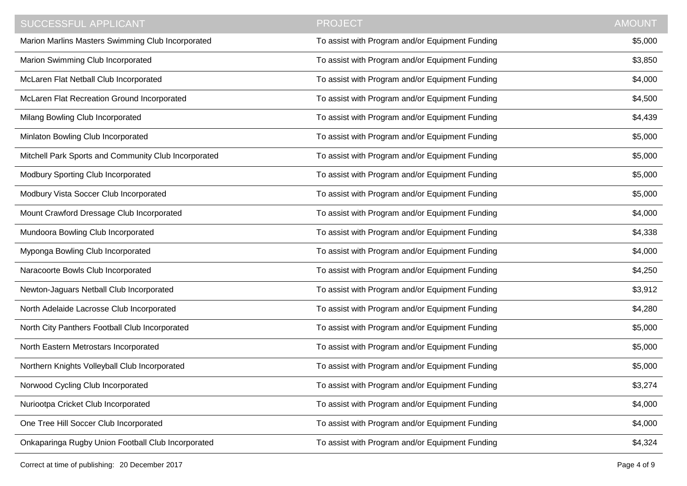| <b>SUCCESSFUL APPLICANT</b>                          | <b>PROJECT</b>                                  | <b>AMOUNT</b> |
|------------------------------------------------------|-------------------------------------------------|---------------|
| Marion Marlins Masters Swimming Club Incorporated    | To assist with Program and/or Equipment Funding | \$5,000       |
| Marion Swimming Club Incorporated                    | To assist with Program and/or Equipment Funding | \$3,850       |
| McLaren Flat Netball Club Incorporated               | To assist with Program and/or Equipment Funding | \$4,000       |
| McLaren Flat Recreation Ground Incorporated          | To assist with Program and/or Equipment Funding | \$4,500       |
| Milang Bowling Club Incorporated                     | To assist with Program and/or Equipment Funding | \$4,439       |
| Minlaton Bowling Club Incorporated                   | To assist with Program and/or Equipment Funding | \$5,000       |
| Mitchell Park Sports and Community Club Incorporated | To assist with Program and/or Equipment Funding | \$5,000       |
| Modbury Sporting Club Incorporated                   | To assist with Program and/or Equipment Funding | \$5,000       |
| Modbury Vista Soccer Club Incorporated               | To assist with Program and/or Equipment Funding | \$5,000       |
| Mount Crawford Dressage Club Incorporated            | To assist with Program and/or Equipment Funding | \$4,000       |
| Mundoora Bowling Club Incorporated                   | To assist with Program and/or Equipment Funding | \$4,338       |
| Myponga Bowling Club Incorporated                    | To assist with Program and/or Equipment Funding | \$4,000       |
| Naracoorte Bowls Club Incorporated                   | To assist with Program and/or Equipment Funding | \$4,250       |
| Newton-Jaguars Netball Club Incorporated             | To assist with Program and/or Equipment Funding | \$3,912       |
| North Adelaide Lacrosse Club Incorporated            | To assist with Program and/or Equipment Funding | \$4,280       |
| North City Panthers Football Club Incorporated       | To assist with Program and/or Equipment Funding | \$5,000       |
| North Eastern Metrostars Incorporated                | To assist with Program and/or Equipment Funding | \$5,000       |
| Northern Knights Volleyball Club Incorporated        | To assist with Program and/or Equipment Funding | \$5,000       |
| Norwood Cycling Club Incorporated                    | To assist with Program and/or Equipment Funding | \$3,274       |
| Nuriootpa Cricket Club Incorporated                  | To assist with Program and/or Equipment Funding | \$4,000       |
| One Tree Hill Soccer Club Incorporated               | To assist with Program and/or Equipment Funding | \$4,000       |
| Onkaparinga Rugby Union Football Club Incorporated   | To assist with Program and/or Equipment Funding | \$4,324       |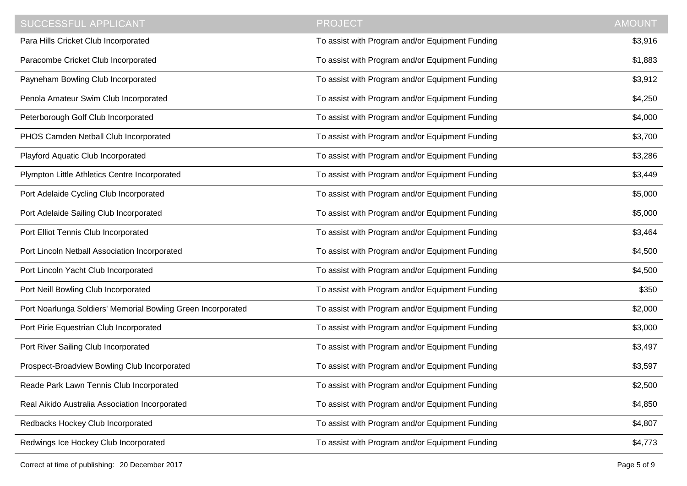| <b>SUCCESSFUL APPLICANT</b>                                  | <b>PROJECT</b>                                  | <b>AMOUNT</b> |
|--------------------------------------------------------------|-------------------------------------------------|---------------|
| Para Hills Cricket Club Incorporated                         | To assist with Program and/or Equipment Funding | \$3,916       |
| Paracombe Cricket Club Incorporated                          | To assist with Program and/or Equipment Funding | \$1,883       |
| Payneham Bowling Club Incorporated                           | To assist with Program and/or Equipment Funding | \$3,912       |
| Penola Amateur Swim Club Incorporated                        | To assist with Program and/or Equipment Funding | \$4,250       |
| Peterborough Golf Club Incorporated                          | To assist with Program and/or Equipment Funding | \$4,000       |
| PHOS Camden Netball Club Incorporated                        | To assist with Program and/or Equipment Funding | \$3,700       |
| Playford Aquatic Club Incorporated                           | To assist with Program and/or Equipment Funding | \$3,286       |
| Plympton Little Athletics Centre Incorporated                | To assist with Program and/or Equipment Funding | \$3,449       |
| Port Adelaide Cycling Club Incorporated                      | To assist with Program and/or Equipment Funding | \$5,000       |
| Port Adelaide Sailing Club Incorporated                      | To assist with Program and/or Equipment Funding | \$5,000       |
| Port Elliot Tennis Club Incorporated                         | To assist with Program and/or Equipment Funding | \$3,464       |
| Port Lincoln Netball Association Incorporated                | To assist with Program and/or Equipment Funding | \$4,500       |
| Port Lincoln Yacht Club Incorporated                         | To assist with Program and/or Equipment Funding | \$4,500       |
| Port Neill Bowling Club Incorporated                         | To assist with Program and/or Equipment Funding | \$350         |
| Port Noarlunga Soldiers' Memorial Bowling Green Incorporated | To assist with Program and/or Equipment Funding | \$2,000       |
| Port Pirie Equestrian Club Incorporated                      | To assist with Program and/or Equipment Funding | \$3,000       |
| Port River Sailing Club Incorporated                         | To assist with Program and/or Equipment Funding | \$3,497       |
| Prospect-Broadview Bowling Club Incorporated                 | To assist with Program and/or Equipment Funding | \$3,597       |
| Reade Park Lawn Tennis Club Incorporated                     | To assist with Program and/or Equipment Funding | \$2,500       |
| Real Aikido Australia Association Incorporated               | To assist with Program and/or Equipment Funding | \$4,850       |
| Redbacks Hockey Club Incorporated                            | To assist with Program and/or Equipment Funding | \$4,807       |
| Redwings Ice Hockey Club Incorporated                        | To assist with Program and/or Equipment Funding | \$4,773       |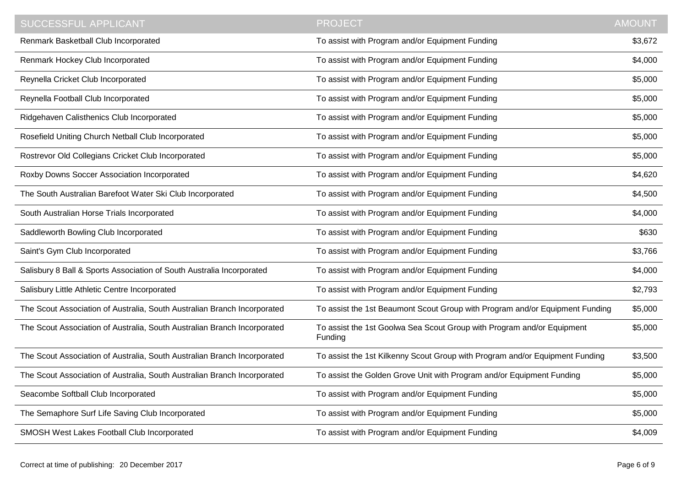| <b>SUCCESSFUL APPLICANT</b>                                              | <b>PROJECT</b>                                                                    | <b>AMOUNT</b> |
|--------------------------------------------------------------------------|-----------------------------------------------------------------------------------|---------------|
| Renmark Basketball Club Incorporated                                     | To assist with Program and/or Equipment Funding                                   | \$3,672       |
| Renmark Hockey Club Incorporated                                         | To assist with Program and/or Equipment Funding                                   | \$4,000       |
| Reynella Cricket Club Incorporated                                       | To assist with Program and/or Equipment Funding                                   | \$5,000       |
| Reynella Football Club Incorporated                                      | To assist with Program and/or Equipment Funding                                   | \$5,000       |
| Ridgehaven Calisthenics Club Incorporated                                | To assist with Program and/or Equipment Funding                                   | \$5,000       |
| Rosefield Uniting Church Netball Club Incorporated                       | To assist with Program and/or Equipment Funding                                   | \$5,000       |
| Rostrevor Old Collegians Cricket Club Incorporated                       | To assist with Program and/or Equipment Funding                                   | \$5,000       |
| Roxby Downs Soccer Association Incorporated                              | To assist with Program and/or Equipment Funding                                   | \$4,620       |
| The South Australian Barefoot Water Ski Club Incorporated                | To assist with Program and/or Equipment Funding                                   | \$4,500       |
| South Australian Horse Trials Incorporated                               | To assist with Program and/or Equipment Funding                                   | \$4,000       |
| Saddleworth Bowling Club Incorporated                                    | To assist with Program and/or Equipment Funding                                   | \$630         |
| Saint's Gym Club Incorporated                                            | To assist with Program and/or Equipment Funding                                   | \$3,766       |
| Salisbury 8 Ball & Sports Association of South Australia Incorporated    | To assist with Program and/or Equipment Funding                                   | \$4,000       |
| Salisbury Little Athletic Centre Incorporated                            | To assist with Program and/or Equipment Funding                                   | \$2,793       |
| The Scout Association of Australia, South Australian Branch Incorporated | To assist the 1st Beaumont Scout Group with Program and/or Equipment Funding      | \$5,000       |
| The Scout Association of Australia, South Australian Branch Incorporated | To assist the 1st Goolwa Sea Scout Group with Program and/or Equipment<br>Funding | \$5,000       |
| The Scout Association of Australia, South Australian Branch Incorporated | To assist the 1st Kilkenny Scout Group with Program and/or Equipment Funding      | \$3,500       |
| The Scout Association of Australia, South Australian Branch Incorporated | To assist the Golden Grove Unit with Program and/or Equipment Funding             | \$5,000       |
| Seacombe Softball Club Incorporated                                      | To assist with Program and/or Equipment Funding                                   | \$5,000       |
| The Semaphore Surf Life Saving Club Incorporated                         | To assist with Program and/or Equipment Funding                                   | \$5,000       |
| SMOSH West Lakes Football Club Incorporated                              | To assist with Program and/or Equipment Funding                                   | \$4,009       |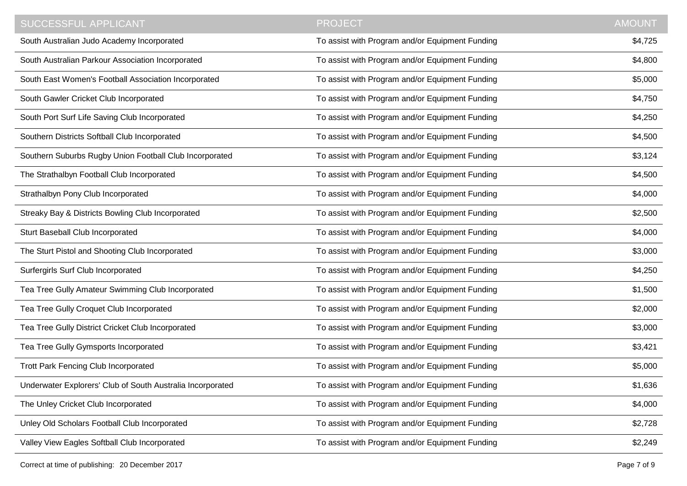| SUCCESSFUL APPLICANT                                       | <b>PROJECT</b>                                  | <b>AMOUNT</b> |
|------------------------------------------------------------|-------------------------------------------------|---------------|
| South Australian Judo Academy Incorporated                 | To assist with Program and/or Equipment Funding | \$4,725       |
| South Australian Parkour Association Incorporated          | To assist with Program and/or Equipment Funding | \$4,800       |
| South East Women's Football Association Incorporated       | To assist with Program and/or Equipment Funding | \$5,000       |
| South Gawler Cricket Club Incorporated                     | To assist with Program and/or Equipment Funding | \$4,750       |
| South Port Surf Life Saving Club Incorporated              | To assist with Program and/or Equipment Funding | \$4,250       |
| Southern Districts Softball Club Incorporated              | To assist with Program and/or Equipment Funding | \$4,500       |
| Southern Suburbs Rugby Union Football Club Incorporated    | To assist with Program and/or Equipment Funding | \$3,124       |
| The Strathalbyn Football Club Incorporated                 | To assist with Program and/or Equipment Funding | \$4,500       |
| Strathalbyn Pony Club Incorporated                         | To assist with Program and/or Equipment Funding | \$4,000       |
| Streaky Bay & Districts Bowling Club Incorporated          | To assist with Program and/or Equipment Funding | \$2,500       |
| Sturt Baseball Club Incorporated                           | To assist with Program and/or Equipment Funding | \$4,000       |
| The Sturt Pistol and Shooting Club Incorporated            | To assist with Program and/or Equipment Funding | \$3,000       |
| Surfergirls Surf Club Incorporated                         | To assist with Program and/or Equipment Funding | \$4,250       |
| Tea Tree Gully Amateur Swimming Club Incorporated          | To assist with Program and/or Equipment Funding | \$1,500       |
| Tea Tree Gully Croquet Club Incorporated                   | To assist with Program and/or Equipment Funding | \$2,000       |
| Tea Tree Gully District Cricket Club Incorporated          | To assist with Program and/or Equipment Funding | \$3,000       |
| Tea Tree Gully Gymsports Incorporated                      | To assist with Program and/or Equipment Funding | \$3,421       |
| <b>Trott Park Fencing Club Incorporated</b>                | To assist with Program and/or Equipment Funding | \$5,000       |
| Underwater Explorers' Club of South Australia Incorporated | To assist with Program and/or Equipment Funding | \$1,636       |
| The Unley Cricket Club Incorporated                        | To assist with Program and/or Equipment Funding | \$4,000       |
| Unley Old Scholars Football Club Incorporated              | To assist with Program and/or Equipment Funding | \$2,728       |
| Valley View Eagles Softball Club Incorporated              | To assist with Program and/or Equipment Funding | \$2,249       |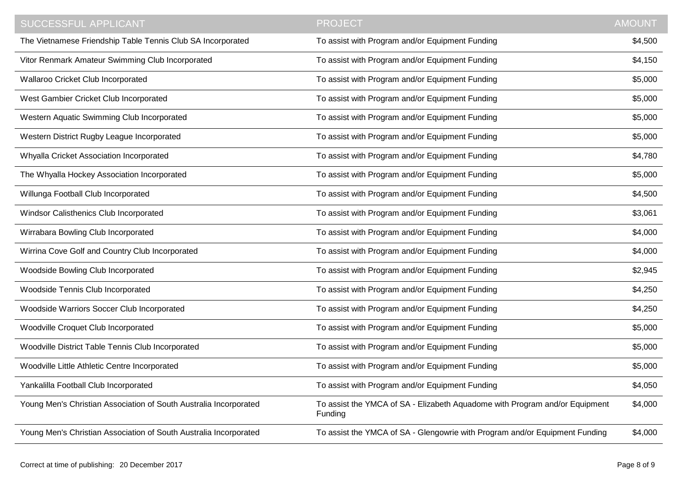| <b>SUCCESSFUL APPLICANT</b>                                       | <b>PROJECT</b>                                                                         | <b>AMOUNT</b> |
|-------------------------------------------------------------------|----------------------------------------------------------------------------------------|---------------|
| The Vietnamese Friendship Table Tennis Club SA Incorporated       | To assist with Program and/or Equipment Funding                                        | \$4,500       |
| Vitor Renmark Amateur Swimming Club Incorporated                  | To assist with Program and/or Equipment Funding                                        | \$4,150       |
| Wallaroo Cricket Club Incorporated                                | To assist with Program and/or Equipment Funding                                        | \$5,000       |
| West Gambier Cricket Club Incorporated                            | To assist with Program and/or Equipment Funding                                        | \$5,000       |
| Western Aquatic Swimming Club Incorporated                        | To assist with Program and/or Equipment Funding                                        | \$5,000       |
| Western District Rugby League Incorporated                        | To assist with Program and/or Equipment Funding                                        | \$5,000       |
| Whyalla Cricket Association Incorporated                          | To assist with Program and/or Equipment Funding                                        | \$4,780       |
| The Whyalla Hockey Association Incorporated                       | To assist with Program and/or Equipment Funding                                        | \$5,000       |
| Willunga Football Club Incorporated                               | To assist with Program and/or Equipment Funding                                        | \$4,500       |
| Windsor Calisthenics Club Incorporated                            | To assist with Program and/or Equipment Funding                                        | \$3,061       |
| Wirrabara Bowling Club Incorporated                               | To assist with Program and/or Equipment Funding                                        | \$4,000       |
| Wirrina Cove Golf and Country Club Incorporated                   | To assist with Program and/or Equipment Funding                                        | \$4,000       |
| Woodside Bowling Club Incorporated                                | To assist with Program and/or Equipment Funding                                        | \$2,945       |
| Woodside Tennis Club Incorporated                                 | To assist with Program and/or Equipment Funding                                        | \$4,250       |
| Woodside Warriors Soccer Club Incorporated                        | To assist with Program and/or Equipment Funding                                        | \$4,250       |
| Woodville Croquet Club Incorporated                               | To assist with Program and/or Equipment Funding                                        | \$5,000       |
| Woodville District Table Tennis Club Incorporated                 | To assist with Program and/or Equipment Funding                                        | \$5,000       |
| Woodville Little Athletic Centre Incorporated                     | To assist with Program and/or Equipment Funding                                        | \$5,000       |
| Yankalilla Football Club Incorporated                             | To assist with Program and/or Equipment Funding                                        | \$4,050       |
| Young Men's Christian Association of South Australia Incorporated | To assist the YMCA of SA - Elizabeth Aquadome with Program and/or Equipment<br>Funding | \$4,000       |
| Young Men's Christian Association of South Australia Incorporated | To assist the YMCA of SA - Glengowrie with Program and/or Equipment Funding            | \$4,000       |